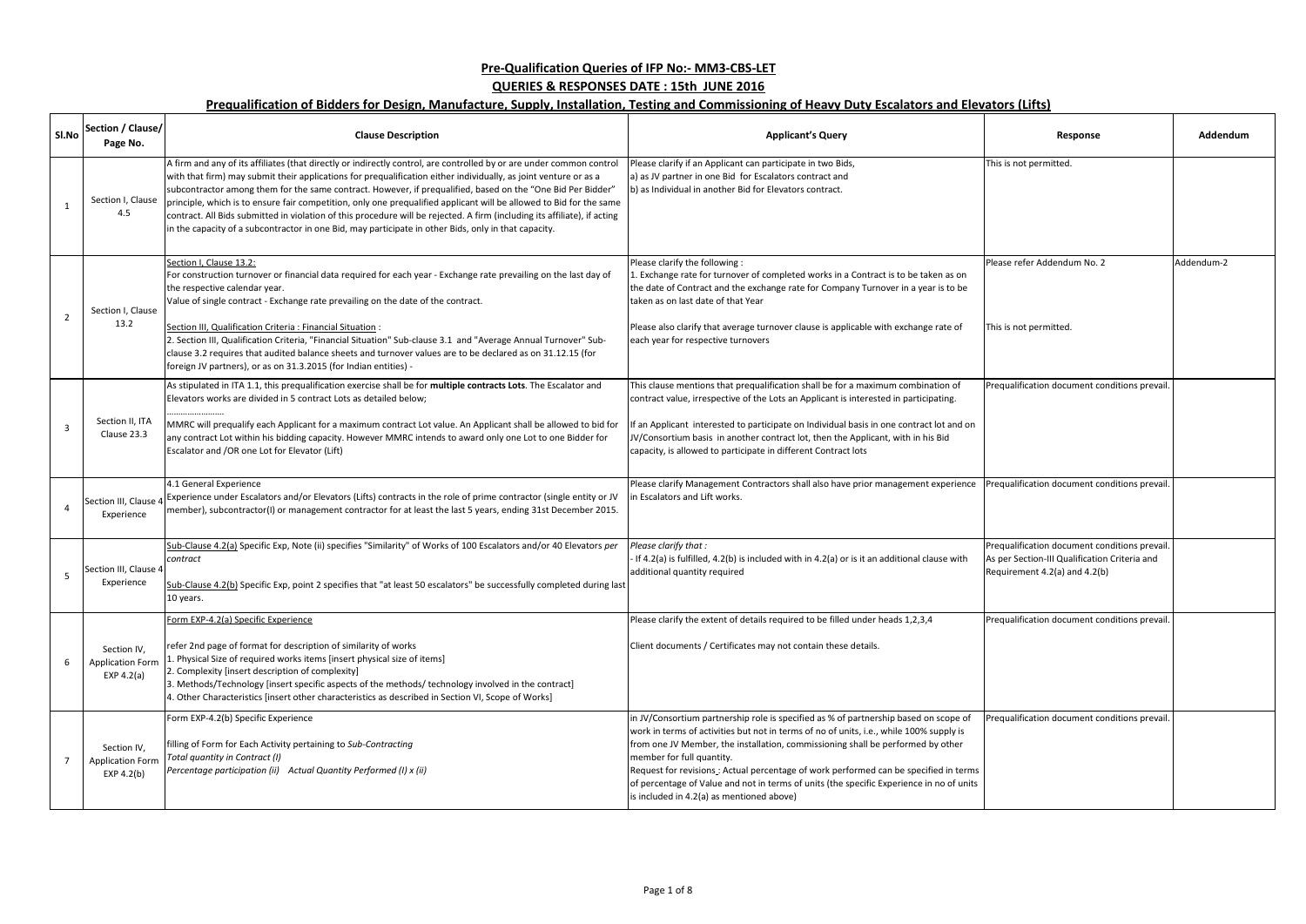| Sl.No          | Section / Clause/<br>Page No.                          | <b>Clause Description</b>                                                                                                                                                                                                                                                                                                                                                                                                                                                                                                                                                                                                                                                                                           | <b>Applicant's Query</b>                                                                                                                                                                                                                                                                                                                                                                                                                                                                                                         | Response                                                                                                                        | Addendum   |
|----------------|--------------------------------------------------------|---------------------------------------------------------------------------------------------------------------------------------------------------------------------------------------------------------------------------------------------------------------------------------------------------------------------------------------------------------------------------------------------------------------------------------------------------------------------------------------------------------------------------------------------------------------------------------------------------------------------------------------------------------------------------------------------------------------------|----------------------------------------------------------------------------------------------------------------------------------------------------------------------------------------------------------------------------------------------------------------------------------------------------------------------------------------------------------------------------------------------------------------------------------------------------------------------------------------------------------------------------------|---------------------------------------------------------------------------------------------------------------------------------|------------|
|                | Section I, Clause<br>4.5                               | A firm and any of its affiliates (that directly or indirectly control, are controlled by or are under common control<br>with that firm) may submit their applications for prequalification either individually, as joint venture or as a<br>subcontractor among them for the same contract. However, if prequalified, based on the "One Bid Per Bidder"<br>principle, which is to ensure fair competition, only one prequalified applicant will be allowed to Bid for the same<br>contract. All Bids submitted in violation of this procedure will be rejected. A firm (including its affiliate), if acting<br>in the capacity of a subcontractor in one Bid, may participate in other Bids, only in that capacity. | Please clarify if an Applicant can participate in two Bids,<br>a) as JV partner in one Bid for Escalators contract and<br>b) as Individual in another Bid for Elevators contract.                                                                                                                                                                                                                                                                                                                                                | This is not permitted.                                                                                                          |            |
| $\overline{2}$ | Section I, Clause<br>13.2                              | Section I, Clause 13.2:<br>For construction turnover or financial data required for each year - Exchange rate prevailing on the last day of<br>the respective calendar year.<br>Value of single contract - Exchange rate prevailing on the date of the contract.<br>Section III, Qualification Criteria : Financial Situation :<br>2. Section III, Qualification Criteria, "Financial Situation" Sub-clause 3.1 and "Average Annual Turnover" Sub-<br>clause 3.2 requires that audited balance sheets and turnover values are to be declared as on 31.12.15 (for<br>foreign JV partners), or as on 31.3.2015 (for Indian entities) -                                                                                | Please clarify the following:<br>1. Exchange rate for turnover of completed works in a Contract is to be taken as on<br>the date of Contract and the exchange rate for Company Turnover in a year is to be<br>taken as on last date of that Year<br>Please also clarify that average turnover clause is applicable with exchange rate of<br>each year for respective turnovers                                                                                                                                                   | Please refer Addendum No. 2<br>This is not permitted.                                                                           | Addendum-2 |
| $\overline{3}$ | Section II, ITA<br>Clause 23.3                         | As stipulated in ITA 1.1, this prequalification exercise shall be for multiple contracts Lots. The Escalator and<br>Elevators works are divided in 5 contract Lots as detailed below;<br>MMRC will prequalify each Applicant for a maximum contract Lot value. An Applicant shall be allowed to bid for<br>any contract Lot within his bidding capacity. However MMRC intends to award only one Lot to one Bidder for<br>Escalator and /OR one Lot for Elevator (Lift)                                                                                                                                                                                                                                              | This clause mentions that prequalification shall be for a maximum combination of<br>contract value, irrespective of the Lots an Applicant is interested in participating.<br>If an Applicant interested to participate on Individual basis in one contract lot and on<br>JV/Consortium basis in another contract lot, then the Applicant, with in his Bid<br>capacity, is allowed to participate in different Contract lots                                                                                                      | Prequalification document conditions prevail.                                                                                   |            |
|                | Section III, Clause 4<br>Experience                    | 4.1 General Experience<br>Experience under Escalators and/or Elevators (Lifts) contracts in the role of prime contractor (single entity or JV<br>member), subcontractor(I) or management contractor for at least the last 5 years, ending 31st December 2015.                                                                                                                                                                                                                                                                                                                                                                                                                                                       | Please clarify Management Contractors shall also have prior management experience<br>in Escalators and Lift works.                                                                                                                                                                                                                                                                                                                                                                                                               | Prequalification document conditions prevail.                                                                                   |            |
|                | Section III, Clause 4<br>Experience                    | Sub-Clause 4.2(a) Specific Exp, Note (ii) specifies "Similarity" of Works of 100 Escalators and/or 40 Elevators per<br>contract<br>Sub-Clause 4.2(b) Specific Exp, point 2 specifies that "at least 50 escalators" be successfully completed during last<br>10 years.                                                                                                                                                                                                                                                                                                                                                                                                                                               | Please clarify that:<br>- If 4.2(a) is fulfilled, 4.2(b) is included with in 4.2(a) or is it an additional clause with<br>additional quantity required                                                                                                                                                                                                                                                                                                                                                                           | Prequalification document conditions prevail.<br>As per Section-III Qualification Criteria and<br>Requirement 4.2(a) and 4.2(b) |            |
| 6              | Section IV,<br><b>Application Form</b><br>EXP $4.2(a)$ | Form EXP-4.2(a) Specific Experience<br>refer 2nd page of format for description of similarity of works<br>1. Physical Size of required works items [insert physical size of items]<br>2. Complexity [insert description of complexity]<br>3. Methods/Technology [insert specific aspects of the methods/ technology involved in the contract]<br>4. Other Characteristics [insert other characteristics as described in Section VI, Scope of Works]                                                                                                                                                                                                                                                                 | Please clarify the extent of details required to be filled under heads 1,2,3,4<br>Client documents / Certificates may not contain these details.                                                                                                                                                                                                                                                                                                                                                                                 | Prequalification document conditions prevail.                                                                                   |            |
|                | Section IV,<br><b>Application Form</b><br>EXP 4.2(b)   | Form EXP-4.2(b) Specific Experience<br>filling of Form for Each Activity pertaining to Sub-Contracting<br>Total quantity in Contract (I)<br>Percentage participation (ii) Actual Quantity Performed (I) x (ii)                                                                                                                                                                                                                                                                                                                                                                                                                                                                                                      | in JV/Consortium partnership role is specified as % of partnership based on scope of<br>work in terms of activities but not in terms of no of units, i.e., while 100% supply is<br>from one JV Member, the installation, commissioning shall be performed by other<br>member for full quantity.<br>Request for revisions: Actual percentage of work performed can be specified in terms<br>of percentage of Value and not in terms of units (the specific Experience in no of units<br>is included in 4.2(a) as mentioned above) | Prequalification document conditions prevail.                                                                                   |            |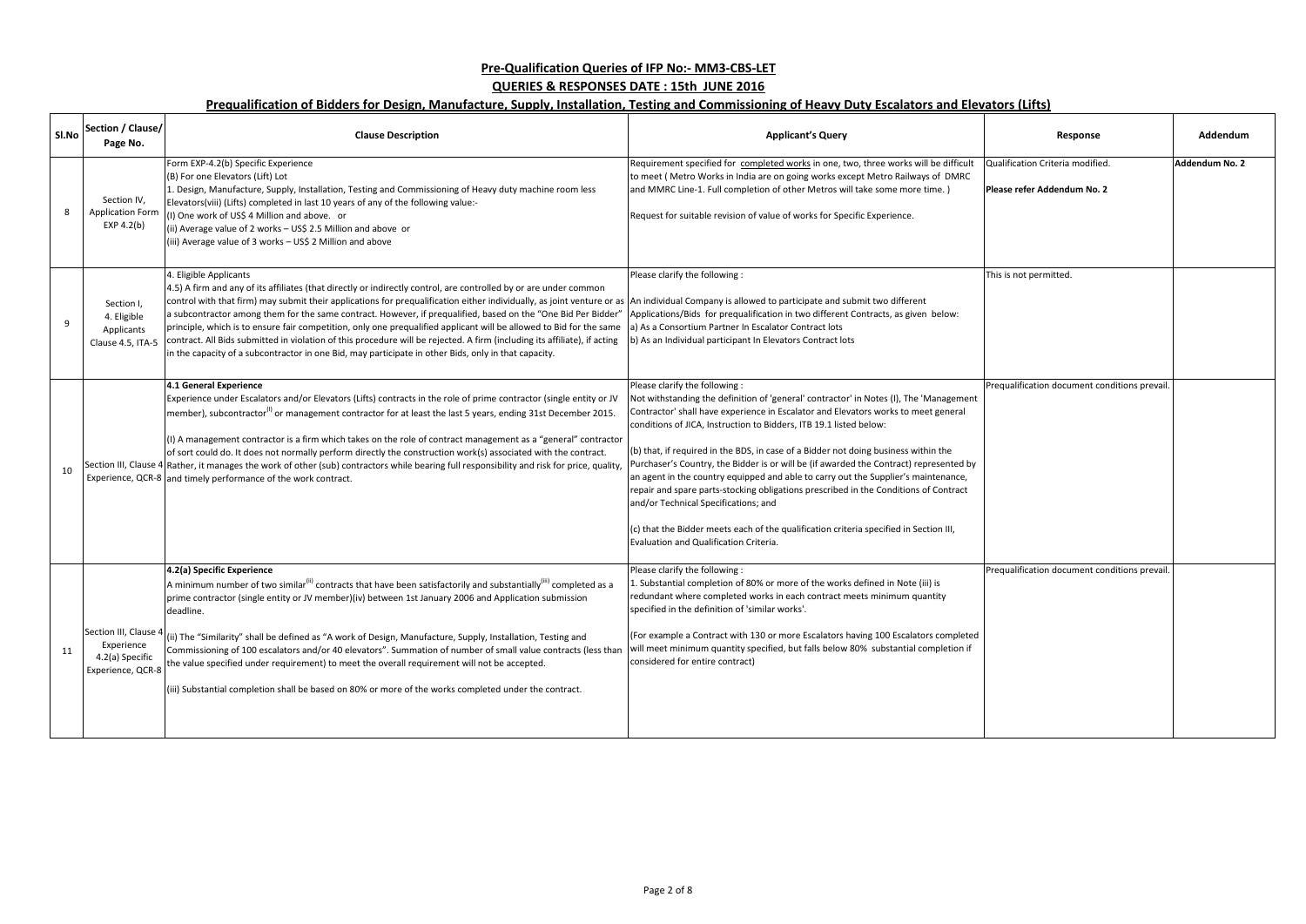| SI.No | Section / Clause/<br>Page No.                                             | <b>Clause Description</b>                                                                                                                                                                                                                                                                                                                                                                                                                                                                                                                                                                                                                                                                                                                                                                                                   | <b>Applicant's Query</b>                                                                                                                                                                                                                                                                                                                                                                                                                                                                                                                                                                                                                                                                                                                                                                                                       | Response                                                        | Addendum       |
|-------|---------------------------------------------------------------------------|-----------------------------------------------------------------------------------------------------------------------------------------------------------------------------------------------------------------------------------------------------------------------------------------------------------------------------------------------------------------------------------------------------------------------------------------------------------------------------------------------------------------------------------------------------------------------------------------------------------------------------------------------------------------------------------------------------------------------------------------------------------------------------------------------------------------------------|--------------------------------------------------------------------------------------------------------------------------------------------------------------------------------------------------------------------------------------------------------------------------------------------------------------------------------------------------------------------------------------------------------------------------------------------------------------------------------------------------------------------------------------------------------------------------------------------------------------------------------------------------------------------------------------------------------------------------------------------------------------------------------------------------------------------------------|-----------------------------------------------------------------|----------------|
| 8     | Section IV,<br><b>Application Form</b><br>EXP $4.2(b)$                    | Form EXP-4.2(b) Specific Experience<br>(B) For one Elevators (Lift) Lot<br>Design, Manufacture, Supply, Installation, Testing and Commissioning of Heavy duty machine room less<br>Elevators(viii) (Lifts) completed in last 10 years of any of the following value:-<br>(I) One work of US\$ 4 Million and above. or<br>(ii) Average value of 2 works - US\$ 2.5 Million and above or<br>(iii) Average value of 3 works - US\$ 2 Million and above                                                                                                                                                                                                                                                                                                                                                                         | Requirement specified for completed works in one, two, three works will be difficult<br>to meet (Metro Works in India are on going works except Metro Railways of DMRC<br>and MMRC Line-1. Full completion of other Metros will take some more time.)<br>Request for suitable revision of value of works for Specific Experience.                                                                                                                                                                                                                                                                                                                                                                                                                                                                                              | Qualification Criteria modified.<br>Please refer Addendum No. 2 | Addendum No. 2 |
| 9     | Section I,<br>4. Eligible<br>Applicants<br>Clause 4.5, ITA-5              | 4. Eligible Applicants<br>4.5) A firm and any of its affiliates (that directly or indirectly control, are controlled by or are under common<br>control with that firm) may submit their applications for prequalification either individually, as joint venture or as An individual Company is allowed to participate and submit two different<br>a subcontractor among them for the same contract. However, if prequalified, based on the "One Bid Per Bidder"<br>principle, which is to ensure fair competition, only one prequalified applicant will be allowed to Bid for the same<br>contract. All Bids submitted in violation of this procedure will be rejected. A firm (including its affiliate), if acting<br>in the capacity of a subcontractor in one Bid, may participate in other Bids, only in that capacity. | Please clarify the following :<br>Applications/Bids for prequalification in two different Contracts, as given below:<br>a) As a Consortium Partner In Escalator Contract lots<br>b) As an Individual participant In Elevators Contract lots                                                                                                                                                                                                                                                                                                                                                                                                                                                                                                                                                                                    | This is not permitted.                                          |                |
| 10    |                                                                           | 4.1 General Experience<br>Experience under Escalators and/or Elevators (Lifts) contracts in the role of prime contractor (single entity or JV<br>member), subcontractor <sup>(1)</sup> or management contractor for at least the last 5 years, ending 31st December 2015.<br>(I) A management contractor is a firm which takes on the role of contract management as a "general" contractor<br>of sort could do. It does not normally perform directly the construction work(s) associated with the contract.<br>Section III, Clause 4 Rather, it manages the work of other (sub) contractors while bearing full responsibility and risk for price, quality,<br>Experience, QCR-8 and timely performance of the work contract.                                                                                              | Please clarify the following:<br>Not withstanding the definition of 'general' contractor' in Notes (I), The 'Management<br>Contractor' shall have experience in Escalator and Elevators works to meet general<br>conditions of JICA, Instruction to Bidders, ITB 19.1 listed below:<br>(b) that, if required in the BDS, in case of a Bidder not doing business within the<br>Purchaser's Country, the Bidder is or will be (if awarded the Contract) represented by<br>an agent in the country equipped and able to carry out the Supplier's maintenance,<br>repair and spare parts-stocking obligations prescribed in the Conditions of Contract<br>and/or Technical Specifications; and<br>(c) that the Bidder meets each of the qualification criteria specified in Section III,<br>Evaluation and Qualification Criteria. | Prequalification document conditions prevail.                   |                |
| 11    | Section III, Clause<br>Experience<br>4.2(a) Specific<br>Experience, QCR-8 | 4.2(a) Specific Experience<br>A minimum number of two similar <sup>(ii)</sup> contracts that have been satisfactorily and substantially <sup>(iii)</sup> completed as a<br>prime contractor (single entity or JV member)(iv) between 1st January 2006 and Application submission<br>deadline.<br>(ii) The "Similarity" shall be defined as "A work of Design, Manufacture, Supply, Installation, Testing and<br>Commissioning of 100 escalators and/or 40 elevators". Summation of number of small value contracts (less than<br>the value specified under requirement) to meet the overall requirement will not be accepted.<br>(iii) Substantial completion shall be based on 80% or more of the works completed under the contract.                                                                                      | Please clarify the following :<br>L. Substantial completion of 80% or more of the works defined in Note (iii) is<br>redundant where completed works in each contract meets minimum quantity<br>specified in the definition of 'similar works'.<br>(For example a Contract with 130 or more Escalators having 100 Escalators completed<br>will meet minimum quantity specified, but falls below 80% substantial completion if<br>considered for entire contract)                                                                                                                                                                                                                                                                                                                                                                | Prequalification document conditions prevail.                   |                |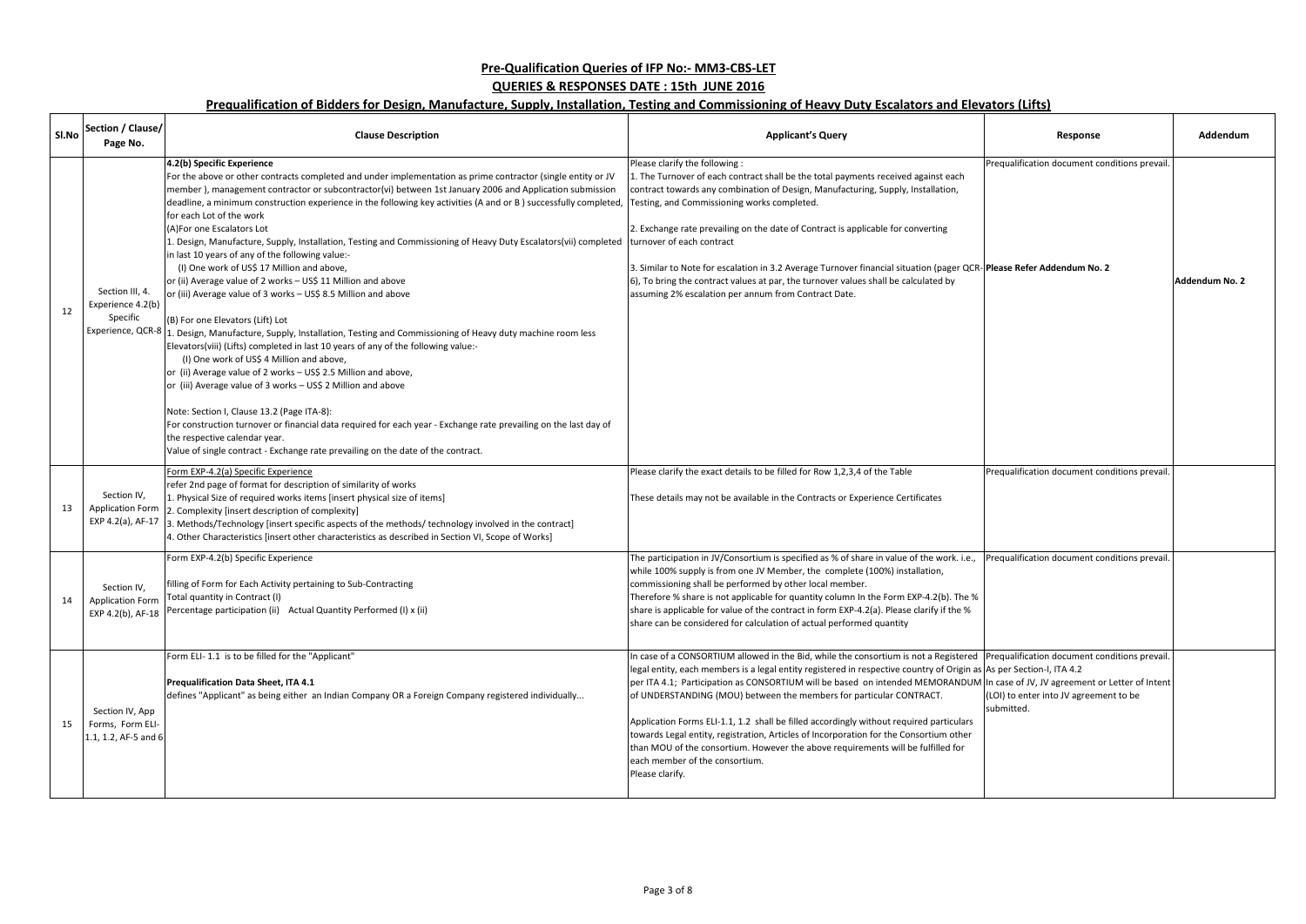| SI.No | Section / Clause/<br>Page No.                               | <b>Clause Description</b>                                                                                                                                                                                                                                                                                                                                                                                                                                                                                                                                                                                                                                                                                                                                                                                                                                                                                                                                                                                                                                                                                                                                                                                                                                                                                                                                                                                                                                                                                            | <b>Applicant's Query</b>                                                                                                                                                                                                                                                                                                                                                                                                                                                                                                                                                                                                                                                                                                                                                                         | Response                                             | Addendum       |
|-------|-------------------------------------------------------------|----------------------------------------------------------------------------------------------------------------------------------------------------------------------------------------------------------------------------------------------------------------------------------------------------------------------------------------------------------------------------------------------------------------------------------------------------------------------------------------------------------------------------------------------------------------------------------------------------------------------------------------------------------------------------------------------------------------------------------------------------------------------------------------------------------------------------------------------------------------------------------------------------------------------------------------------------------------------------------------------------------------------------------------------------------------------------------------------------------------------------------------------------------------------------------------------------------------------------------------------------------------------------------------------------------------------------------------------------------------------------------------------------------------------------------------------------------------------------------------------------------------------|--------------------------------------------------------------------------------------------------------------------------------------------------------------------------------------------------------------------------------------------------------------------------------------------------------------------------------------------------------------------------------------------------------------------------------------------------------------------------------------------------------------------------------------------------------------------------------------------------------------------------------------------------------------------------------------------------------------------------------------------------------------------------------------------------|------------------------------------------------------|----------------|
| 12    | Section III, 4.<br>Experience 4.2(b)<br>Specific            | 4.2(b) Specific Experience<br>For the above or other contracts completed and under implementation as prime contractor (single entity or JV<br>member), management contractor or subcontractor(vi) between 1st January 2006 and Application submission<br>deadline, a minimum construction experience in the following key activities (A and or B) successfully completed,<br>for each Lot of the work<br>(A) For one Escalators Lot<br>Design, Manufacture, Supply, Installation, Testing and Commissioning of Heavy Duty Escalators(vii) completed<br>in last 10 years of any of the following value:-<br>(I) One work of US\$ 17 Million and above,<br>or (ii) Average value of 2 works - US\$ 11 Million and above<br>or (iii) Average value of 3 works - US\$ 8.5 Million and above<br>(B) For one Elevators (Lift) Lot<br>Experience, QCR-8 1. Design, Manufacture, Supply, Installation, Testing and Commissioning of Heavy duty machine room less<br>Elevators(viii) (Lifts) completed in last 10 years of any of the following value:-<br>(I) One work of US\$ 4 Million and above,<br>or (ii) Average value of 2 works - US\$ 2.5 Million and above,<br>or (iii) Average value of 3 works - US\$ 2 Million and above<br>Note: Section I, Clause 13.2 (Page ITA-8):<br>For construction turnover or financial data required for each year - Exchange rate prevailing on the last day of<br>the respective calendar year.<br>Value of single contract - Exchange rate prevailing on the date of the contract. | Please clarify the following :<br>1. The Turnover of each contract shall be the total payments received against each<br>contract towards any combination of Design, Manufacturing, Supply, Installation,<br>Testing, and Commissioning works completed.<br>2. Exchange rate prevailing on the date of Contract is applicable for converting<br>turnover of each contract<br>3. Similar to Note for escalation in 3.2 Average Turnover financial situation (pager QCR-Please Refer Addendum No. 2<br>6), To bring the contract values at par, the turnover values shall be calculated by<br>assuming 2% escalation per annum from Contract Date.                                                                                                                                                  | Prequalification document conditions prevail.        | Addendum No. 2 |
| 13    | Section IV,<br><b>Application Form</b>                      | Form EXP-4.2(a) Specific Experience<br>refer 2nd page of format for description of similarity of works<br>1. Physical Size of required works items [insert physical size of items]<br>2. Complexity [insert description of complexity]<br>EXP 4.2(a), AF-17 $\vert$ 3. Methods/Technology [insert specific aspects of the methods/ technology involved in the contract]<br>1. Other Characteristics [insert other characteristics as described in Section VI, Scope of Works]                                                                                                                                                                                                                                                                                                                                                                                                                                                                                                                                                                                                                                                                                                                                                                                                                                                                                                                                                                                                                                        | Please clarify the exact details to be filled for Row 1,2,3,4 of the Table<br>These details may not be available in the Contracts or Experience Certificates                                                                                                                                                                                                                                                                                                                                                                                                                                                                                                                                                                                                                                     | Prequalification document conditions prevail.        |                |
| 14    | Section IV,<br><b>Application Form</b>                      | Form EXP-4.2(b) Specific Experience<br>filling of Form for Each Activity pertaining to Sub-Contracting<br>Total quantity in Contract (I)<br>EXP 4.2(b), AF-18 Percentage participation (ii) Actual Quantity Performed (I) x (ii)                                                                                                                                                                                                                                                                                                                                                                                                                                                                                                                                                                                                                                                                                                                                                                                                                                                                                                                                                                                                                                                                                                                                                                                                                                                                                     | The participation in JV/Consortium is specified as % of share in value of the work. i.e.,<br>while 100% supply is from one JV Member, the complete (100%) installation,<br>commissioning shall be performed by other local member.<br>Therefore % share is not applicable for quantity column In the Form EXP-4.2(b). The %<br>share is applicable for value of the contract in form EXP-4.2(a). Please clarify if the %<br>share can be considered for calculation of actual performed quantity                                                                                                                                                                                                                                                                                                 | Prequalification document conditions prevail.        |                |
| 15    | Section IV, App<br>Forms, Form ELI-<br>1.1, 1.2, AF-5 and 6 | Form ELI-1.1 is to be filled for the "Applicant"<br>Prequalification Data Sheet, ITA 4.1<br>defines "Applicant" as being either an Indian Company OR a Foreign Company registered individually                                                                                                                                                                                                                                                                                                                                                                                                                                                                                                                                                                                                                                                                                                                                                                                                                                                                                                                                                                                                                                                                                                                                                                                                                                                                                                                       | In case of a CONSORTIUM allowed in the Bid, while the consortium is not a Registered Prequalification document conditions prevail.<br>legal entity, each members is a legal entity registered in respective country of Origin as As per Section-I, ITA 4.2<br>per ITA 4.1; Participation as CONSORTIUM will be based on intended MEMORANDUM In case of JV, JV agreement or Letter of Intent<br>of UNDERSTANDING (MOU) between the members for particular CONTRACT.<br>Application Forms ELI-1.1, 1.2 shall be filled accordingly without required particulars<br>towards Legal entity, registration, Articles of Incorporation for the Consortium other<br>than MOU of the consortium. However the above requirements will be fulfilled for<br>each member of the consortium.<br>Please clarify. | (LOI) to enter into JV agreement to be<br>submitted. |                |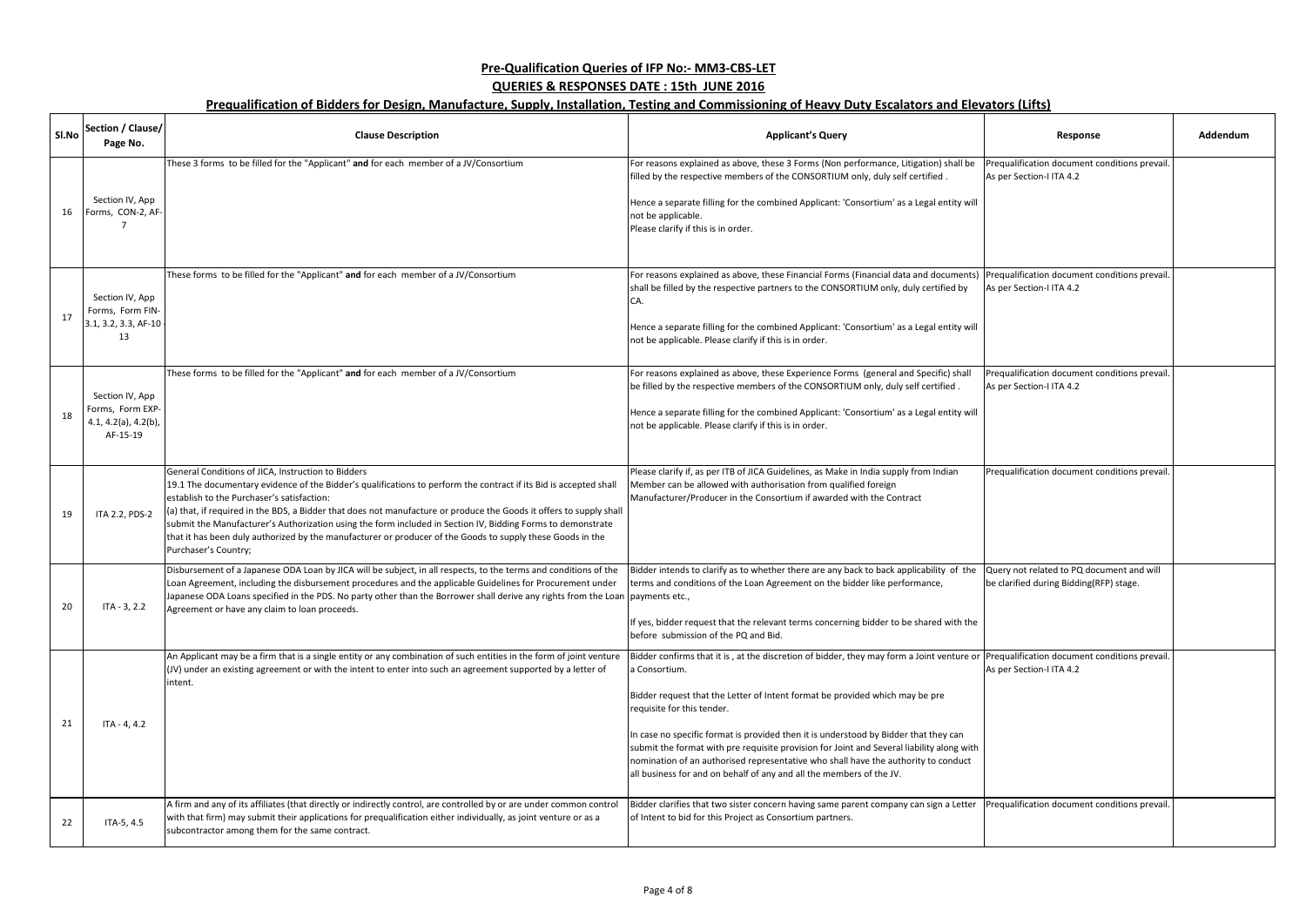| SI.No | Section / Clause/<br>Page No.                                           | <b>Clause Description</b>                                                                                                                                                                                                                                                                                                                                                                                                                                                                                                                                                                         | <b>Applicant's Query</b>                                                                                                                                                                                                                                                                                                                                                                                                                                                                                                                                                                                                  | Response                                                                             | Addendum |
|-------|-------------------------------------------------------------------------|---------------------------------------------------------------------------------------------------------------------------------------------------------------------------------------------------------------------------------------------------------------------------------------------------------------------------------------------------------------------------------------------------------------------------------------------------------------------------------------------------------------------------------------------------------------------------------------------------|---------------------------------------------------------------------------------------------------------------------------------------------------------------------------------------------------------------------------------------------------------------------------------------------------------------------------------------------------------------------------------------------------------------------------------------------------------------------------------------------------------------------------------------------------------------------------------------------------------------------------|--------------------------------------------------------------------------------------|----------|
| 16    | Section IV, App<br>Forms, CON-2, AF-                                    | These 3 forms to be filled for the "Applicant" and for each member of a JV/Consortium                                                                                                                                                                                                                                                                                                                                                                                                                                                                                                             | For reasons explained as above, these 3 Forms (Non performance, Litigation) shall be<br>filled by the respective members of the CONSORTIUM only, duly self certified.<br>Hence a separate filling for the combined Applicant: 'Consortium' as a Legal entity will<br>not be applicable.<br>Please clarify if this is in order.                                                                                                                                                                                                                                                                                            | Prequalification document conditions prevail.<br>As per Section-I ITA 4.2            |          |
| 17    | Section IV, App<br>Forms, Form FIN-<br>3.1, 3.2, 3.3, AF-10<br>13       | These forms to be filled for the "Applicant" and for each member of a JV/Consortium                                                                                                                                                                                                                                                                                                                                                                                                                                                                                                               | For reasons explained as above, these Financial Forms (Financial data and documents)<br>shall be filled by the respective partners to the CONSORTIUM only, duly certified by<br>CA.<br>Hence a separate filling for the combined Applicant: 'Consortium' as a Legal entity will<br>not be applicable. Please clarify if this is in order.                                                                                                                                                                                                                                                                                 | Prequalification document conditions prevail.<br>As per Section-I ITA 4.2            |          |
| 18    | Section IV, App<br>Forms, Form EXP-<br>4.1, 4.2(a), 4.2(b),<br>AF-15-19 | These forms to be filled for the "Applicant" and for each member of a JV/Consortium                                                                                                                                                                                                                                                                                                                                                                                                                                                                                                               | For reasons explained as above, these Experience Forms (general and Specific) shall<br>be filled by the respective members of the CONSORTIUM only, duly self certified.<br>Hence a separate filling for the combined Applicant: 'Consortium' as a Legal entity will<br>not be applicable. Please clarify if this is in order.                                                                                                                                                                                                                                                                                             | Prequalification document conditions prevail.<br>As per Section-I ITA 4.2            |          |
| 19    | ITA 2.2, PDS-2                                                          | General Conditions of JICA, Instruction to Bidders<br>19.1 The documentary evidence of the Bidder's qualifications to perform the contract if its Bid is accepted shall<br>establish to the Purchaser's satisfaction:<br>(a) that, if required in the BDS, a Bidder that does not manufacture or produce the Goods it offers to supply shall<br>submit the Manufacturer's Authorization using the form included in Section IV, Bidding Forms to demonstrate<br>that it has been duly authorized by the manufacturer or producer of the Goods to supply these Goods in the<br>Purchaser's Country; | Please clarify if, as per ITB of JICA Guidelines, as Make in India supply from Indian<br>Member can be allowed with authorisation from qualified foreign<br>Manufacturer/Producer in the Consortium if awarded with the Contract                                                                                                                                                                                                                                                                                                                                                                                          | Prequalification document conditions prevail.                                        |          |
|       | ITA - 3, 2.2                                                            | Disbursement of a Japanese ODA Loan by JICA will be subject, in all respects, to the terms and conditions of the<br>Loan Agreement, including the disbursement procedures and the applicable Guidelines for Procurement under<br>Japanese ODA Loans specified in the PDS. No party other than the Borrower shall derive any rights from the Loan payments etc.,<br>Agreement or have any claim to loan proceeds.                                                                                                                                                                                  | Bidder intends to clarify as to whether there are any back to back applicability of the<br>terms and conditions of the Loan Agreement on the bidder like performance,<br>If yes, bidder request that the relevant terms concerning bidder to be shared with the<br>before submission of the PQ and Bid.                                                                                                                                                                                                                                                                                                                   | Query not related to PQ document and will<br>be clarified during Bidding(RFP) stage. |          |
| 21    | $ITA - 4, 4.2$                                                          | An Applicant may be a firm that is a single entity or any combination of such entities in the form of joint venture<br>(JV) under an existing agreement or with the intent to enter into such an agreement supported by a letter of<br>intent.                                                                                                                                                                                                                                                                                                                                                    | Bidder confirms that it is, at the discretion of bidder, they may form a Joint venture or Prequalification document conditions prevail.<br>a Consortium.<br>Bidder request that the Letter of Intent format be provided which may be pre<br>requisite for this tender.<br>In case no specific format is provided then it is understood by Bidder that they can<br>submit the format with pre requisite provision for Joint and Several liability along with<br>nomination of an authorised representative who shall have the authority to conduct<br>all business for and on behalf of any and all the members of the JV. | As per Section-I ITA 4.2                                                             |          |
| 22    | ITA-5, 4.5                                                              | A firm and any of its affiliates (that directly or indirectly control, are controlled by or are under common control<br>with that firm) may submit their applications for prequalification either individually, as joint venture or as a<br>subcontractor among them for the same contract.                                                                                                                                                                                                                                                                                                       | Bidder clarifies that two sister concern having same parent company can sign a Letter<br>of Intent to bid for this Project as Consortium partners.                                                                                                                                                                                                                                                                                                                                                                                                                                                                        | Prequalification document conditions prevail.                                        |          |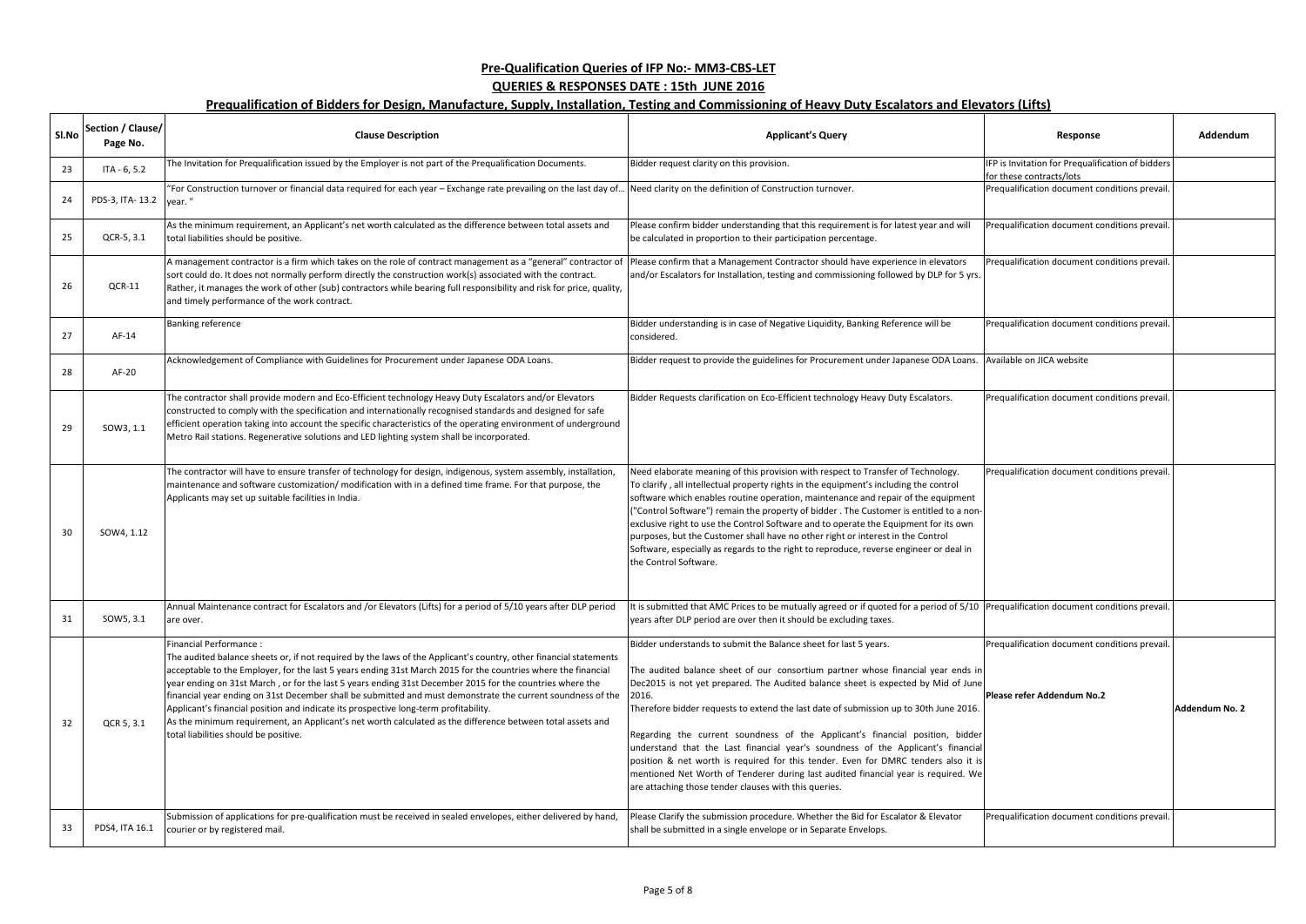| SI.No | Section / Clause/<br>Page No. | <b>Clause Description</b>                                                                                                                                                                                                                                                                                                                                                                                                                                                                                                                                                                                                                                                                                                               | <b>Applicant's Query</b>                                                                                                                                                                                                                                                                                                                                                                                                                                                                                                                                                                                                                                                                                                                              | Response                                                                      | Addendum        |
|-------|-------------------------------|-----------------------------------------------------------------------------------------------------------------------------------------------------------------------------------------------------------------------------------------------------------------------------------------------------------------------------------------------------------------------------------------------------------------------------------------------------------------------------------------------------------------------------------------------------------------------------------------------------------------------------------------------------------------------------------------------------------------------------------------|-------------------------------------------------------------------------------------------------------------------------------------------------------------------------------------------------------------------------------------------------------------------------------------------------------------------------------------------------------------------------------------------------------------------------------------------------------------------------------------------------------------------------------------------------------------------------------------------------------------------------------------------------------------------------------------------------------------------------------------------------------|-------------------------------------------------------------------------------|-----------------|
| 23    | $ITA - 6, 5.2$                | The Invitation for Prequalification issued by the Employer is not part of the Prequalification Documents.                                                                                                                                                                                                                                                                                                                                                                                                                                                                                                                                                                                                                               | Bidder request clarity on this provision.                                                                                                                                                                                                                                                                                                                                                                                                                                                                                                                                                                                                                                                                                                             | IFP is Invitation for Prequalification of bidders<br>for these contracts/lots |                 |
| 24    | PDS-3, ITA-13.2 vear."        | "For Construction turnover or financial data required for each year - Exchange rate prevailing on the last day of.                                                                                                                                                                                                                                                                                                                                                                                                                                                                                                                                                                                                                      | Need clarity on the definition of Construction turnover.                                                                                                                                                                                                                                                                                                                                                                                                                                                                                                                                                                                                                                                                                              | Prequalification document conditions prevail.                                 |                 |
| 25    | QCR-5, 3.1                    | As the minimum requirement, an Applicant's net worth calculated as the difference between total assets and<br>total liabilities should be positive.                                                                                                                                                                                                                                                                                                                                                                                                                                                                                                                                                                                     | Please confirm bidder understanding that this requirement is for latest year and will<br>be calculated in proportion to their participation percentage.                                                                                                                                                                                                                                                                                                                                                                                                                                                                                                                                                                                               | Prequalification document conditions prevail.                                 |                 |
| 26    | $QCR-11$                      | A management contractor is a firm which takes on the role of contract management as a "general" contractor of<br>sort could do. It does not normally perform directly the construction work(s) associated with the contract.<br>Rather, it manages the work of other (sub) contractors while bearing full responsibility and risk for price, quality,<br>and timely performance of the work contract.                                                                                                                                                                                                                                                                                                                                   | Please confirm that a Management Contractor should have experience in elevators<br>and/or Escalators for Installation, testing and commissioning followed by DLP for 5 yrs.                                                                                                                                                                                                                                                                                                                                                                                                                                                                                                                                                                           | Prequalification document conditions prevail.                                 |                 |
| 27    | AF-14                         | <b>Banking reference</b>                                                                                                                                                                                                                                                                                                                                                                                                                                                                                                                                                                                                                                                                                                                | Bidder understanding is in case of Negative Liquidity, Banking Reference will be<br>considered.                                                                                                                                                                                                                                                                                                                                                                                                                                                                                                                                                                                                                                                       | Prequalification document conditions prevail.                                 |                 |
| 28    | AF-20                         | Acknowledgement of Compliance with Guidelines for Procurement under Japanese ODA Loans.                                                                                                                                                                                                                                                                                                                                                                                                                                                                                                                                                                                                                                                 | Bidder request to provide the guidelines for Procurement under Japanese ODA Loans.                                                                                                                                                                                                                                                                                                                                                                                                                                                                                                                                                                                                                                                                    | Available on JICA website                                                     |                 |
| 29    | SOW3, 1.1                     | The contractor shall provide modern and Eco-Efficient technology Heavy Duty Escalators and/or Elevators<br>constructed to comply with the specification and internationally recognised standards and designed for safe<br>efficient operation taking into account the specific characteristics of the operating environment of underground<br>Metro Rail stations. Regenerative solutions and LED lighting system shall be incorporated.                                                                                                                                                                                                                                                                                                | Bidder Requests clarification on Eco-Efficient technology Heavy Duty Escalators.                                                                                                                                                                                                                                                                                                                                                                                                                                                                                                                                                                                                                                                                      | Prequalification document conditions prevail.                                 |                 |
| 30    | SOW4, 1.12                    | The contractor will have to ensure transfer of technology for design, indigenous, system assembly, installation,<br>maintenance and software customization/ modification with in a defined time frame. For that purpose, the<br>Applicants may set up suitable facilities in India.                                                                                                                                                                                                                                                                                                                                                                                                                                                     | Need elaborate meaning of this provision with respect to Transfer of Technology.<br>To clarify, all intellectual property rights in the equipment's including the control<br>software which enables routine operation, maintenance and repair of the equipment<br>"Control Software") remain the property of bidder. The Customer is entitled to a non-<br>exclusive right to use the Control Software and to operate the Equipment for its own<br>purposes, but the Customer shall have no other right or interest in the Control<br>Software, especially as regards to the right to reproduce, reverse engineer or deal in<br>the Control Software.                                                                                                 | Prequalification document conditions prevail.                                 |                 |
| 31    | SOW5, 3.1                     | Annual Maintenance contract for Escalators and /or Elevators (Lifts) for a period of 5/10 years after DLP period It is submitted that AMC Prices to be mutually agreed or if quoted for a period of 5/10 Prequalification docu<br>are over.                                                                                                                                                                                                                                                                                                                                                                                                                                                                                             | years after DLP period are over then it should be excluding taxes.                                                                                                                                                                                                                                                                                                                                                                                                                                                                                                                                                                                                                                                                                    |                                                                               |                 |
| 32    | QCR 5, 3.1                    | Financial Performance :<br>The audited balance sheets or, if not required by the laws of the Applicant's country, other financial statements<br>acceptable to the Employer, for the last 5 years ending 31st March 2015 for the countries where the financial<br>year ending on 31st March, or for the last 5 years ending 31st December 2015 for the countries where the<br>financial year ending on 31st December shall be submitted and must demonstrate the current soundness of the<br>Applicant's financial position and indicate its prospective long-term profitability.<br>As the minimum requirement, an Applicant's net worth calculated as the difference between total assets and<br>total liabilities should be positive. | Bidder understands to submit the Balance sheet for last 5 years.<br>The audited balance sheet of our consortium partner whose financial year ends in<br>Dec2015 is not yet prepared. The Audited balance sheet is expected by Mid of June<br>2016.<br>Therefore bidder requests to extend the last date of submission up to 30th June 2016.<br>Regarding the current soundness of the Applicant's financial position, bidder<br>understand that the Last financial year's soundness of the Applicant's financial<br>position & net worth is required for this tender. Even for DMRC tenders also it is<br>mentioned Net Worth of Tenderer during last audited financial year is required. We<br>are attaching those tender clauses with this queries. | Prequalification document conditions prevail.<br>Please refer Addendum No.2   | lAddendum No. 2 |
| 33    | PDS4, ITA 16.1                | Submission of applications for pre-qualification must be received in sealed envelopes, either delivered by hand,<br>courier or by registered mail.                                                                                                                                                                                                                                                                                                                                                                                                                                                                                                                                                                                      | Please Clarify the submission procedure. Whether the Bid for Escalator & Elevator<br>shall be submitted in a single envelope or in Separate Envelops.                                                                                                                                                                                                                                                                                                                                                                                                                                                                                                                                                                                                 | Prequalification document conditions prevail.                                 |                 |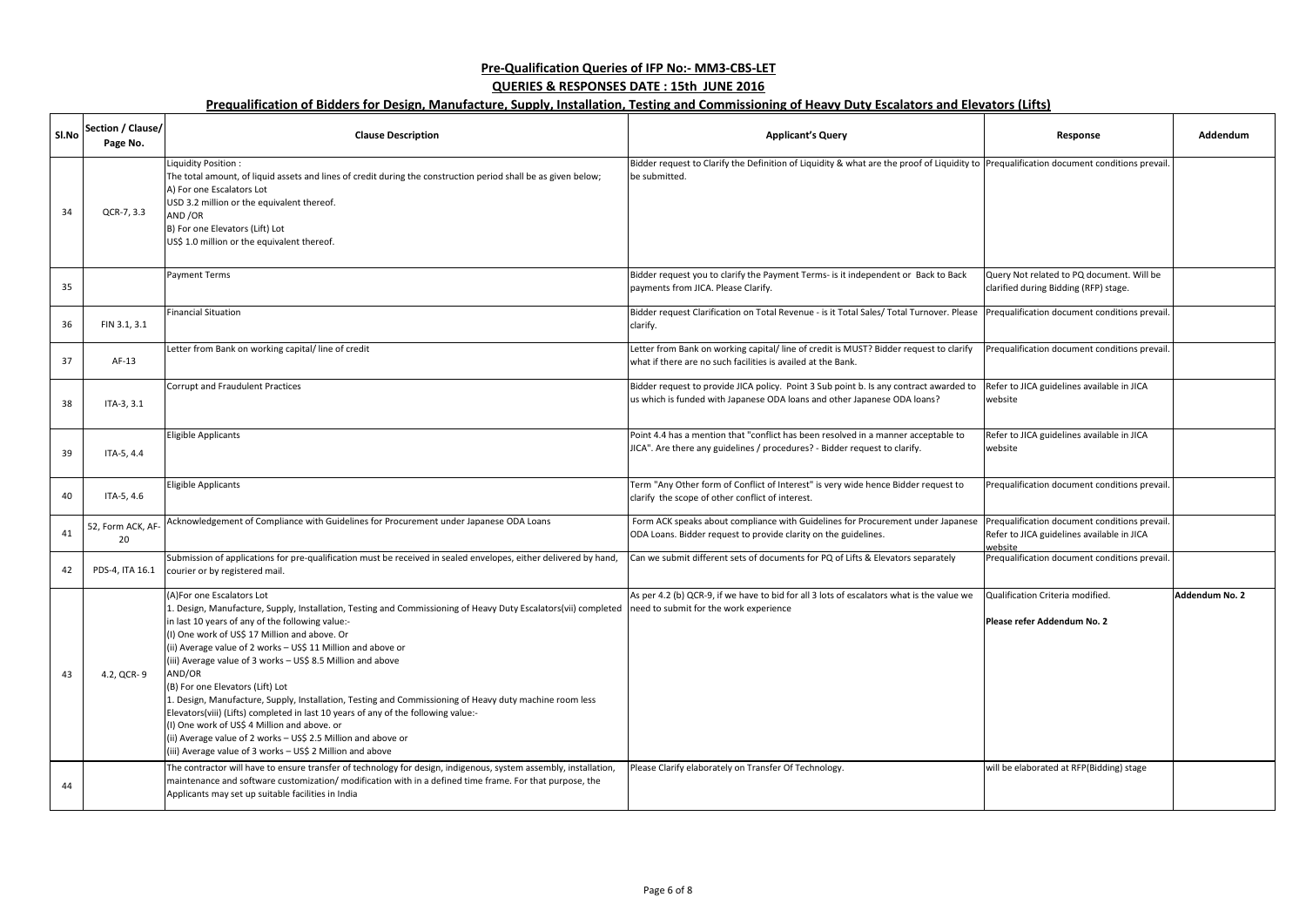| Sl.No | Section / Clause/<br>Page No. | <b>Clause Description</b>                                                                                                                                                                                                                                                                                                                                                                                                                                                                                                                                                                                                                                                                                                                                                                                                                             | <b>Applicant's Query</b>                                                                                                                                           | Response                                                                                               | Addendum       |
|-------|-------------------------------|-------------------------------------------------------------------------------------------------------------------------------------------------------------------------------------------------------------------------------------------------------------------------------------------------------------------------------------------------------------------------------------------------------------------------------------------------------------------------------------------------------------------------------------------------------------------------------------------------------------------------------------------------------------------------------------------------------------------------------------------------------------------------------------------------------------------------------------------------------|--------------------------------------------------------------------------------------------------------------------------------------------------------------------|--------------------------------------------------------------------------------------------------------|----------------|
| 34    | QCR-7, 3.3                    | Liquidity Position:<br>The total amount, of liquid assets and lines of credit during the construction period shall be as given below;<br>A) For one Escalators Lot<br>USD 3.2 million or the equivalent thereof.<br>AND /OR<br>B) For one Elevators (Lift) Lot<br>US\$ 1.0 million or the equivalent thereof.                                                                                                                                                                                                                                                                                                                                                                                                                                                                                                                                         | Bidder request to Clarify the Definition of Liquidity & what are the proof of Liquidity to Prequalification document conditions prevail.<br>be submitted.          |                                                                                                        |                |
| 35    |                               | <b>Payment Terms</b>                                                                                                                                                                                                                                                                                                                                                                                                                                                                                                                                                                                                                                                                                                                                                                                                                                  | Bidder request you to clarify the Payment Terms- is it independent or Back to Back<br>payments from JICA. Please Clarify.                                          | Query Not related to PQ document. Will be<br>clarified during Bidding (RFP) stage.                     |                |
| 36    | FIN 3.1, 3.1                  | <b>Financial Situation</b>                                                                                                                                                                                                                                                                                                                                                                                                                                                                                                                                                                                                                                                                                                                                                                                                                            | Bidder request Clarification on Total Revenue - is it Total Sales/ Total Turnover. Please<br>clarify.                                                              | Prequalification document conditions prevail.                                                          |                |
| 37    | AF-13                         | Letter from Bank on working capital/line of credit                                                                                                                                                                                                                                                                                                                                                                                                                                                                                                                                                                                                                                                                                                                                                                                                    | Letter from Bank on working capital/ line of credit is MUST? Bidder request to clarify<br>what if there are no such facilities is availed at the Bank.             | Prequalification document conditions prevail.                                                          |                |
| 38    | ITA-3, 3.1                    | Corrupt and Fraudulent Practices                                                                                                                                                                                                                                                                                                                                                                                                                                                                                                                                                                                                                                                                                                                                                                                                                      | Bidder request to provide JICA policy. Point 3 Sub point b. Is any contract awarded to<br>us which is funded with Japanese ODA loans and other Japanese ODA loans? | Refer to JICA guidelines available in JICA<br>website                                                  |                |
| 39    | ITA-5, 4.4                    | <b>Eligible Applicants</b>                                                                                                                                                                                                                                                                                                                                                                                                                                                                                                                                                                                                                                                                                                                                                                                                                            | Point 4.4 has a mention that "conflict has been resolved in a manner acceptable to<br>JICA". Are there any guidelines / procedures? - Bidder request to clarify.   | Refer to JICA guidelines available in JICA<br>website                                                  |                |
| 40    | ITA-5, 4.6                    | Eligible Applicants                                                                                                                                                                                                                                                                                                                                                                                                                                                                                                                                                                                                                                                                                                                                                                                                                                   | Term "Any Other form of Conflict of Interest" is very wide hence Bidder request to<br>clarify the scope of other conflict of interest.                             | Prequalification document conditions prevail.                                                          |                |
| 41    | 52, Form ACK, AF<br>20        | Acknowledgement of Compliance with Guidelines for Procurement under Japanese ODA Loans                                                                                                                                                                                                                                                                                                                                                                                                                                                                                                                                                                                                                                                                                                                                                                | Form ACK speaks about compliance with Guidelines for Procurement under Japanese<br>ODA Loans. Bidder request to provide clarity on the guidelines.                 | Prequalification document conditions prevail.<br>Refer to JICA guidelines available in JICA<br>website |                |
| 42    | PDS-4, ITA 16.1               | Submission of applications for pre-qualification must be received in sealed envelopes, either delivered by hand,<br>courier or by registered mail.                                                                                                                                                                                                                                                                                                                                                                                                                                                                                                                                                                                                                                                                                                    | Can we submit different sets of documents for PQ of Lifts & Elevators separately                                                                                   | Prequalification document conditions prevail.                                                          |                |
| 43    | 4.2, QCR-9                    | (A) For one Escalators Lot<br>1. Design, Manufacture, Supply, Installation, Testing and Commissioning of Heavy Duty Escalators(vii) completed need to submit for the work experience<br>in last 10 years of any of the following value:-<br>(I) One work of US\$ 17 Million and above. Or<br>(ii) Average value of 2 works - US\$ 11 Million and above or<br>(iii) Average value of 3 works - US\$ 8.5 Million and above<br>AND/OR<br>(B) For one Elevators (Lift) Lot<br>1. Design, Manufacture, Supply, Installation, Testing and Commissioning of Heavy duty machine room less<br>Elevators(viii) (Lifts) completed in last 10 years of any of the following value:-<br>(I) One work of US\$ 4 Million and above. or<br>(ii) Average value of 2 works - US\$ 2.5 Million and above or<br>(iii) Average value of 3 works - US\$ 2 Million and above | As per 4.2 (b) QCR-9, if we have to bid for all 3 lots of escalators what is the value we                                                                          | Qualification Criteria modified.<br>Please refer Addendum No. 2                                        | Addendum No. 2 |
| 44    |                               | The contractor will have to ensure transfer of technology for design, indigenous, system assembly, installation,<br>maintenance and software customization/ modification with in a defined time frame. For that purpose, the<br>Applicants may set up suitable facilities in India                                                                                                                                                                                                                                                                                                                                                                                                                                                                                                                                                                    | Please Clarify elaborately on Transfer Of Technology.                                                                                                              | will be elaborated at RFP(Bidding) stage                                                               |                |

| Response                                                                                               | Addendum       |
|--------------------------------------------------------------------------------------------------------|----------------|
| Prequalification document conditions prevail.                                                          |                |
|                                                                                                        |                |
| Query Not related to PQ document. Will be<br>clarified during Bidding (RFP) stage.                     |                |
| Prequalification document conditions prevail.                                                          |                |
| Prequalification document conditions prevail.                                                          |                |
| Refer to JICA guidelines available in JICA<br>website                                                  |                |
| Refer to JICA guidelines available in JICA<br>website                                                  |                |
| Prequalification document conditions prevail.                                                          |                |
| Prequalification document conditions prevail.<br>Refer to JICA guidelines available in JICA<br>website |                |
| Prequalification document conditions prevail.                                                          |                |
| Qualification Criteria modified.                                                                       | Addendum No. 2 |
| Please refer Addendum No. 2                                                                            |                |
| will be elaborated at RFP(Bidding) stage                                                               |                |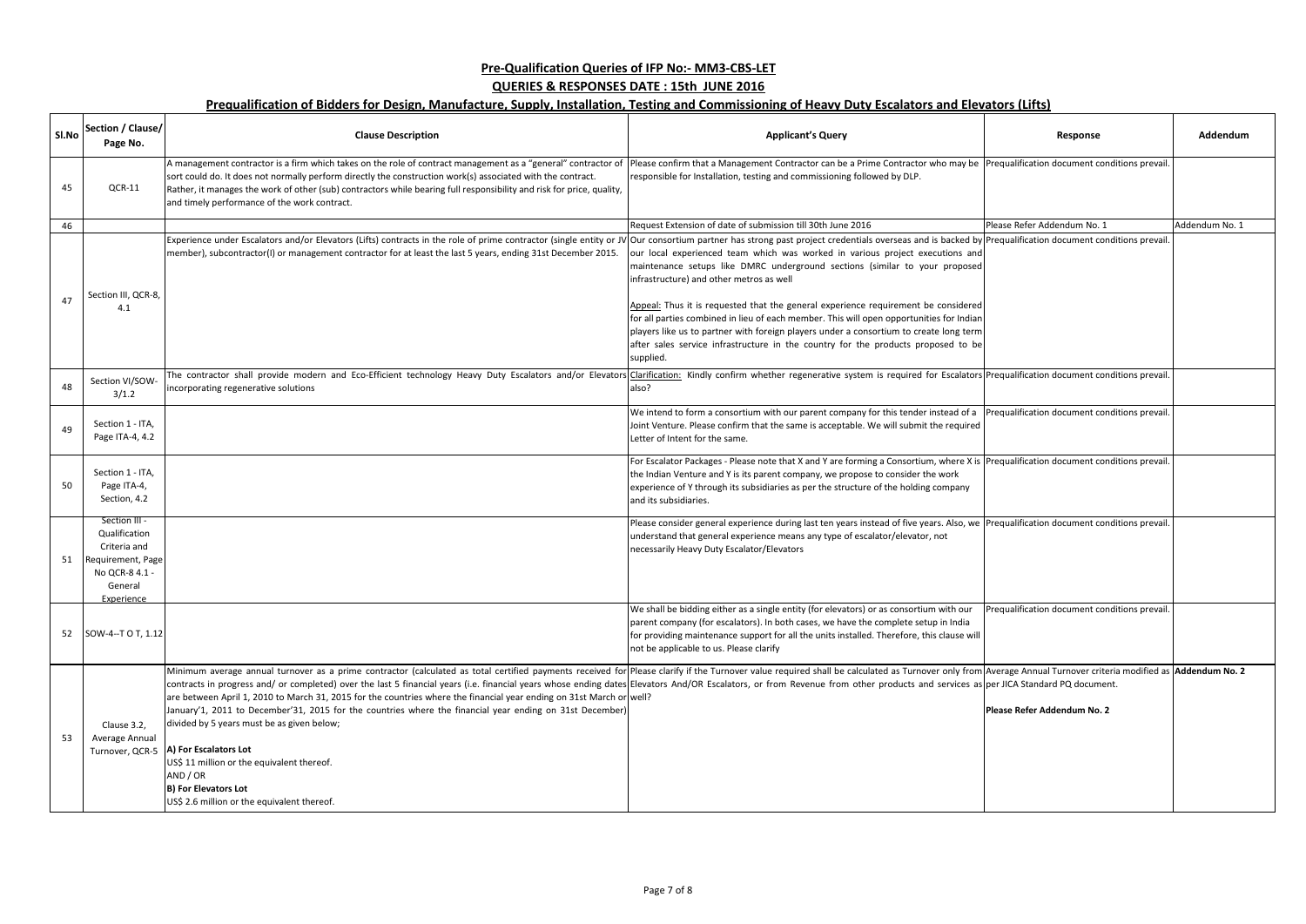| SI.No | Section / Clause/<br>Page No.                                                                                  | <b>Clause Description</b>                                                                                                                                                                                                                                                                                                                                                                                                                                                                                                                                                                                                                                                                                                                                                                                                                                                                                                     | <b>Applicant's Query</b>                                                                                                                                                                                                                                                                                                                                                                                                                                                                                                                                                               | Response                                      | Addendum       |
|-------|----------------------------------------------------------------------------------------------------------------|-------------------------------------------------------------------------------------------------------------------------------------------------------------------------------------------------------------------------------------------------------------------------------------------------------------------------------------------------------------------------------------------------------------------------------------------------------------------------------------------------------------------------------------------------------------------------------------------------------------------------------------------------------------------------------------------------------------------------------------------------------------------------------------------------------------------------------------------------------------------------------------------------------------------------------|----------------------------------------------------------------------------------------------------------------------------------------------------------------------------------------------------------------------------------------------------------------------------------------------------------------------------------------------------------------------------------------------------------------------------------------------------------------------------------------------------------------------------------------------------------------------------------------|-----------------------------------------------|----------------|
| 45    | QCR-11                                                                                                         | A management contractor is a firm which takes on the role of contract management as a "general" contractor of<br>sort could do. It does not normally perform directly the construction work(s) associated with the contract.<br>Rather, it manages the work of other (sub) contractors while bearing full responsibility and risk for price, quality,<br>and timely performance of the work contract.                                                                                                                                                                                                                                                                                                                                                                                                                                                                                                                         | Please confirm that a Management Contractor can be a Prime Contractor who may be Prequalification document conditions prevail.<br>responsible for Installation, testing and commissioning followed by DLP.                                                                                                                                                                                                                                                                                                                                                                             |                                               |                |
| 46    |                                                                                                                |                                                                                                                                                                                                                                                                                                                                                                                                                                                                                                                                                                                                                                                                                                                                                                                                                                                                                                                               | Request Extension of date of submission till 30th June 2016                                                                                                                                                                                                                                                                                                                                                                                                                                                                                                                            | Please Refer Addendum No. 1                   | Addendum No. 1 |
| 47    | Section III, QCR-8,<br>4.1                                                                                     | Experience under Escalators and/or Elevators (Lifts) contracts in the role of prime contractor (single entity or JV Our consortium partner has strong past project credentials overseas and is backed by Prequalification docu<br>member), subcontractor(I) or management contractor for at least the last 5 years, ending 31st December 2015.                                                                                                                                                                                                                                                                                                                                                                                                                                                                                                                                                                                | our local experienced team which was worked in various project executions and<br>maintenance setups like DMRC underground sections (similar to your proposed<br>infrastructure) and other metros as well<br>Appeal: Thus it is requested that the general experience requirement be considered<br>for all parties combined in lieu of each member. This will open opportunities for Indian<br>players like us to partner with foreign players under a consortium to create long term<br>after sales service infrastructure in the country for the products proposed to be<br>supplied. |                                               |                |
| 48    | Section VI/SOW-<br>3/1.2                                                                                       | The contractor shall provide modern and Eco-Efficient technology Heavy Duty Escalators and/or Elevators Clarification: Kindly confirm whether regenerative system is required for Escalators Prequalification document conditi<br>incorporating regenerative solutions                                                                                                                                                                                                                                                                                                                                                                                                                                                                                                                                                                                                                                                        | also?                                                                                                                                                                                                                                                                                                                                                                                                                                                                                                                                                                                  |                                               |                |
|       | Section 1 - ITA,<br>Page ITA-4, 4.2                                                                            |                                                                                                                                                                                                                                                                                                                                                                                                                                                                                                                                                                                                                                                                                                                                                                                                                                                                                                                               | We intend to form a consortium with our parent company for this tender instead of a<br>Joint Venture. Please confirm that the same is acceptable. We will submit the required<br>Letter of Intent for the same.                                                                                                                                                                                                                                                                                                                                                                        | Prequalification document conditions prevail. |                |
| 50    | Section 1 - ITA,<br>Page ITA-4,<br>Section, 4.2                                                                |                                                                                                                                                                                                                                                                                                                                                                                                                                                                                                                                                                                                                                                                                                                                                                                                                                                                                                                               | For Escalator Packages - Please note that X and Y are forming a Consortium, where X is Prequalification document conditions prevail.<br>the Indian Venture and Y is its parent company, we propose to consider the work<br>experience of Y through its subsidiaries as per the structure of the holding company<br>and its subsidiaries.                                                                                                                                                                                                                                               |                                               |                |
|       | Section III -<br>Qualification<br>Criteria and<br>Requirement, Page<br>No QCR-8 4.1 -<br>General<br>Experience |                                                                                                                                                                                                                                                                                                                                                                                                                                                                                                                                                                                                                                                                                                                                                                                                                                                                                                                               | Please consider general experience during last ten years instead of five years. Also, we Prequalification document conditions prevail.<br>understand that general experience means any type of escalator/elevator, not<br>necessarily Heavy Duty Escalator/Elevators                                                                                                                                                                                                                                                                                                                   |                                               |                |
|       | 52 SOW-4--T O T, 1.12                                                                                          |                                                                                                                                                                                                                                                                                                                                                                                                                                                                                                                                                                                                                                                                                                                                                                                                                                                                                                                               | We shall be bidding either as a single entity (for elevators) or as consortium with our<br>parent company (for escalators). In both cases, we have the complete setup in India<br>for providing maintenance support for all the units installed. Therefore, this clause will<br>not be applicable to us. Please clarify                                                                                                                                                                                                                                                                | Prequalification document conditions prevail. |                |
| 53    | Clause 3.2,<br>Average Annual                                                                                  | Minimum average annual turnover as a prime contractor (calculated as total certified payments received for Please clarify if the Turnover value required shall be calculated as Turnover only from Average Annual Turnover cri<br>contracts in progress and/ or completed) over the last 5 financial years (i.e. financial years whose ending dates Elevators And/OR Escalators, or from Revenue from other products and services as per JICA Standard PQ docume<br>are between April 1, 2010 to March 31, 2015 for the countries where the financial year ending on 31st March or well?<br>January'1, 2011 to December'31, 2015 for the countries where the financial year ending on 31st December)<br>divided by 5 years must be as given below;<br>Turnover, QCR-5  A) For Escalators Lot<br>US\$ 11 million or the equivalent thereof.<br>AND / OR<br>B) For Elevators Lot<br>US\$ 2.6 million or the equivalent thereof. |                                                                                                                                                                                                                                                                                                                                                                                                                                                                                                                                                                                        | Please Refer Addendum No. 2                   |                |